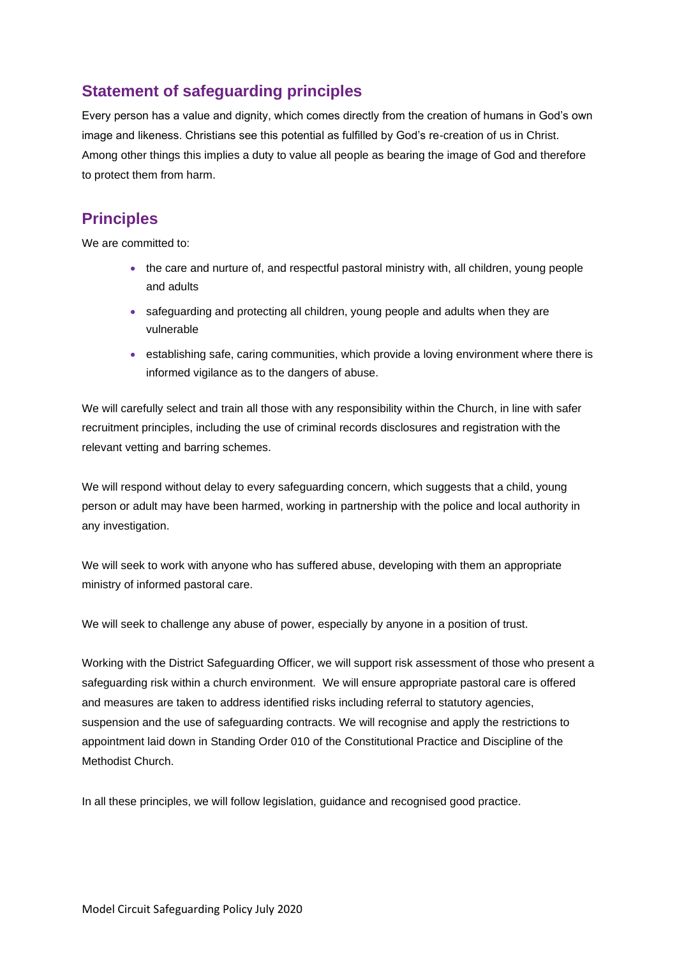# **Statement of safeguarding principles**

Every person has a value and dignity, which comes directly from the creation of humans in God's own image and likeness. Christians see this potential as fulfilled by God's re-creation of us in Christ. Among other things this implies a duty to value all people as bearing the image of God and therefore to protect them from harm.

## **Principles**

We are committed to:

- the care and nurture of, and respectful pastoral ministry with, all children, young people and adults
- safeguarding and protecting all children, young people and adults when they are vulnerable
- establishing safe, caring communities, which provide a loving environment where there is informed vigilance as to the dangers of abuse.

We will carefully select and train all those with any responsibility within the Church, in line with safer recruitment principles, including the use of criminal records disclosures and registration with the relevant vetting and barring schemes.

We will respond without delay to every safeguarding concern, which suggests that a child, young person or adult may have been harmed, working in partnership with the police and local authority in any investigation.

We will seek to work with anyone who has suffered abuse, developing with them an appropriate ministry of informed pastoral care.

We will seek to challenge any abuse of power, especially by anyone in a position of trust.

Working with the District Safeguarding Officer, we will support risk assessment of those who present a safeguarding risk within a church environment. We will ensure appropriate pastoral care is offered and measures are taken to address identified risks including referral to statutory agencies, suspension and the use of safeguarding contracts. We will recognise and apply the restrictions to appointment laid down in Standing Order 010 of the Constitutional Practice and Discipline of the Methodist Church.

In all these principles, we will follow legislation, guidance and recognised good practice.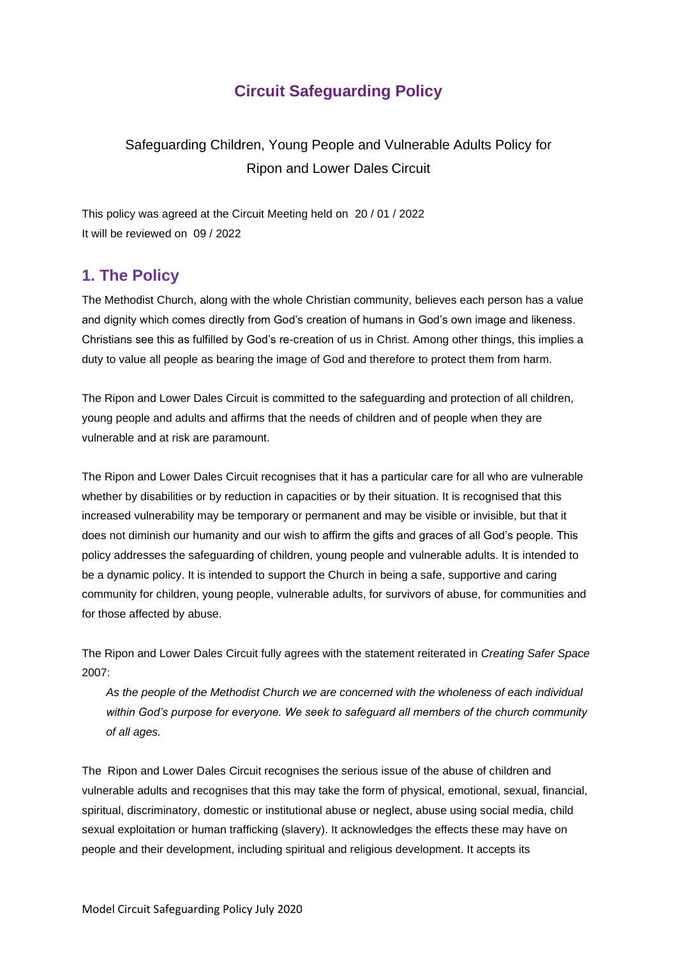# **Circuit Safeguarding Policy**

# Safeguarding Children, Young People and Vulnerable Adults Policy for Ripon and Lower Dales Circuit

This policy was agreed at the Circuit Meeting held on 20 / 01 / 2022 It will be reviewed on 09 / 2022

### **1. The Policy**

The Methodist Church, along with the whole Christian community, believes each person has a value and dignity which comes directly from God's creation of humans in God's own image and likeness. Christians see this as fulfilled by God's re-creation of us in Christ. Among other things, this implies a duty to value all people as bearing the image of God and therefore to protect them from harm.

The Ripon and Lower Dales Circuit is committed to the safeguarding and protection of all children, young people and adults and affirms that the needs of children and of people when they are vulnerable and at risk are paramount.

The Ripon and Lower Dales Circuit recognises that it has a particular care for all who are vulnerable whether by disabilities or by reduction in capacities or by their situation. It is recognised that this increased vulnerability may be temporary or permanent and may be visible or invisible, but that it does not diminish our humanity and our wish to affirm the gifts and graces of all God's people. This policy addresses the safeguarding of children, young people and vulnerable adults. It is intended to be a dynamic policy. It is intended to support the Church in being a safe, supportive and caring community for children, young people, vulnerable adults, for survivors of abuse, for communities and for those affected by abuse.

The Ripon and Lower Dales Circuit fully agrees with the statement reiterated in *Creating Safer Space*  2007:

*As the people of the Methodist Church we are concerned with the wholeness of each individual within God's purpose for everyone. We seek to safeguard all members of the church community of all ages.* 

The Ripon and Lower Dales Circuit recognises the serious issue of the abuse of children and vulnerable adults and recognises that this may take the form of physical, emotional, sexual, financial, spiritual, discriminatory, domestic or institutional abuse or neglect, abuse using social media, child sexual exploitation or human trafficking (slavery). It acknowledges the effects these may have on people and their development, including spiritual and religious development. It accepts its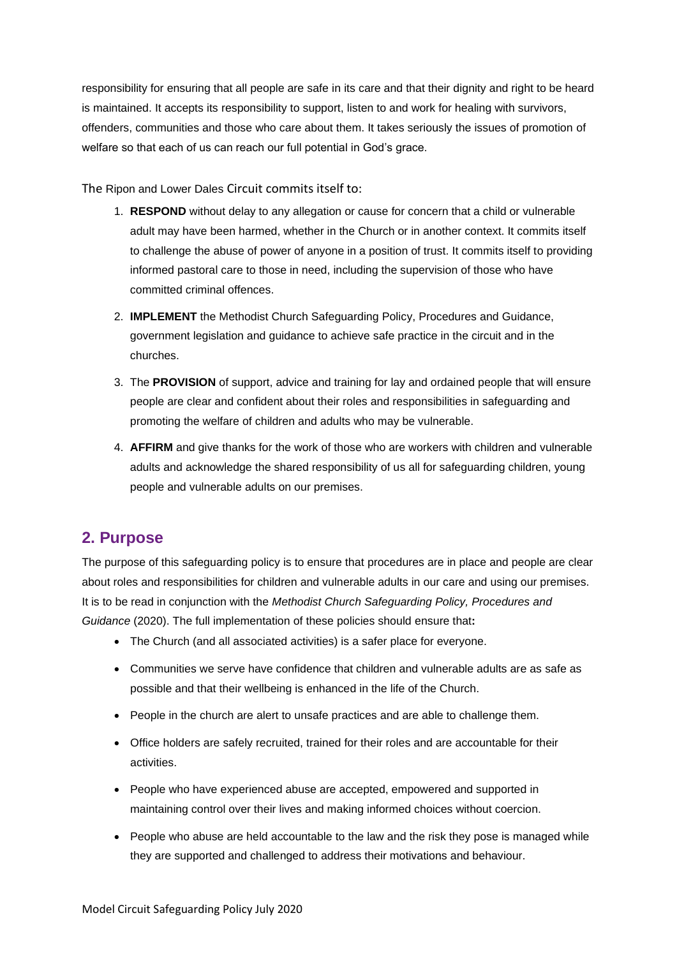responsibility for ensuring that all people are safe in its care and that their dignity and right to be heard is maintained. It accepts its responsibility to support, listen to and work for healing with survivors, offenders, communities and those who care about them. It takes seriously the issues of promotion of welfare so that each of us can reach our full potential in God's grace.

The Ripon and Lower Dales Circuit commits itself to:

- 1. **RESPOND** without delay to any allegation or cause for concern that a child or vulnerable adult may have been harmed, whether in the Church or in another context. It commits itself to challenge the abuse of power of anyone in a position of trust. It commits itself to providing informed pastoral care to those in need, including the supervision of those who have committed criminal offences.
- 2. **IMPLEMENT** the Methodist Church Safeguarding Policy, Procedures and Guidance, government legislation and guidance to achieve safe practice in the circuit and in the churches.
- 3. The **PROVISION** of support, advice and training for lay and ordained people that will ensure people are clear and confident about their roles and responsibilities in safeguarding and promoting the welfare of children and adults who may be vulnerable.
- 4. **AFFIRM** and give thanks for the work of those who are workers with children and vulnerable adults and acknowledge the shared responsibility of us all for safeguarding children, young people and vulnerable adults on our premises.

## **2. Purpose**

The purpose of this safeguarding policy is to ensure that procedures are in place and people are clear about roles and responsibilities for children and vulnerable adults in our care and using our premises. It is to be read in conjunction with the *Methodist Church Safeguarding Policy, Procedures and Guidance* (2020). The full implementation of these policies should ensure that**:**

- The Church (and all associated activities) is a safer place for everyone.
- Communities we serve have confidence that children and vulnerable adults are as safe as possible and that their wellbeing is enhanced in the life of the Church.
- People in the church are alert to unsafe practices and are able to challenge them.
- Office holders are safely recruited, trained for their roles and are accountable for their activities.
- People who have experienced abuse are accepted, empowered and supported in maintaining control over their lives and making informed choices without coercion.
- People who abuse are held accountable to the law and the risk they pose is managed while they are supported and challenged to address their motivations and behaviour.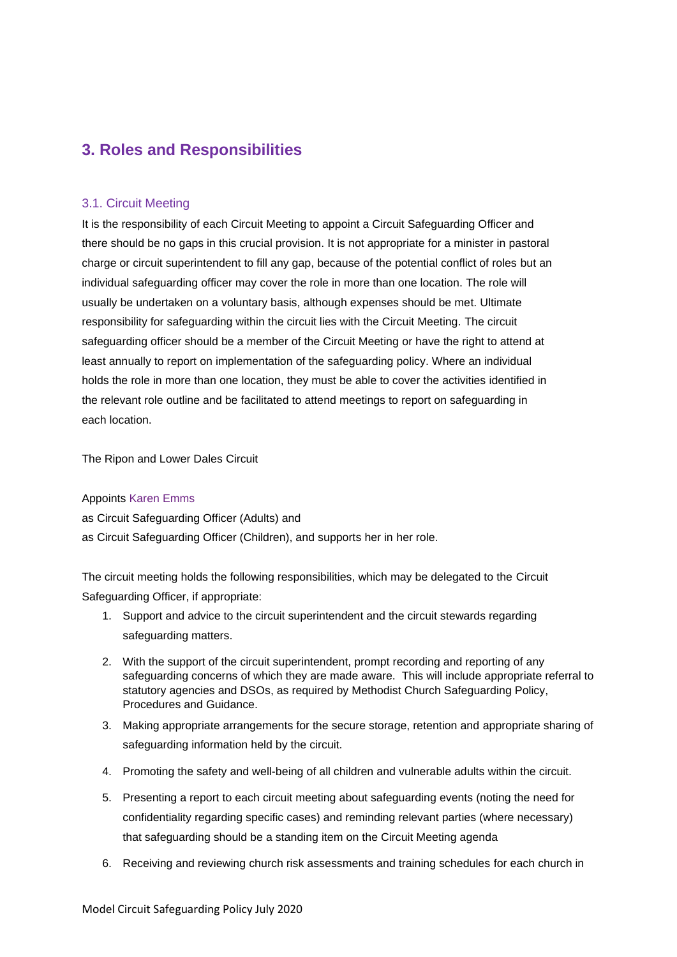## **3. Roles and Responsibilities**

#### 3.1. Circuit Meeting

It is the responsibility of each Circuit Meeting to appoint a Circuit Safeguarding Officer and there should be no gaps in this crucial provision. It is not appropriate for a minister in pastoral charge or circuit superintendent to fill any gap, because of the potential conflict of roles but an individual safeguarding officer may cover the role in more than one location. The role will usually be undertaken on a voluntary basis, although expenses should be met. Ultimate responsibility for safeguarding within the circuit lies with the Circuit Meeting. The circuit safeguarding officer should be a member of the Circuit Meeting or have the right to attend at least annually to report on implementation of the safeguarding policy. Where an individual holds the role in more than one location, they must be able to cover the activities identified in the relevant role outline and be facilitated to attend meetings to report on safeguarding in each location.

The Ripon and Lower Dales Circuit

#### Appoints Karen Emms

as Circuit Safeguarding Officer (Adults) and as Circuit Safeguarding Officer (Children), and supports her in her role.

The circuit meeting holds the following responsibilities, which may be delegated to the Circuit Safeguarding Officer, if appropriate:

- 1. Support and advice to the circuit superintendent and the circuit stewards regarding safeguarding matters.
- 2. With the support of the circuit superintendent, prompt recording and reporting of any safeguarding concerns of which they are made aware. This will include appropriate referral to statutory agencies and DSOs, as required by Methodist Church Safeguarding Policy, Procedures and Guidance.
- 3. Making appropriate arrangements for the secure storage, retention and appropriate sharing of safeguarding information held by the circuit.
- 4. Promoting the safety and well-being of all children and vulnerable adults within the circuit.
- 5. Presenting a report to each circuit meeting about safeguarding events (noting the need for confidentiality regarding specific cases) and reminding relevant parties (where necessary) that safeguarding should be a standing item on the Circuit Meeting agenda
- 6. Receiving and reviewing church risk assessments and training schedules for each church in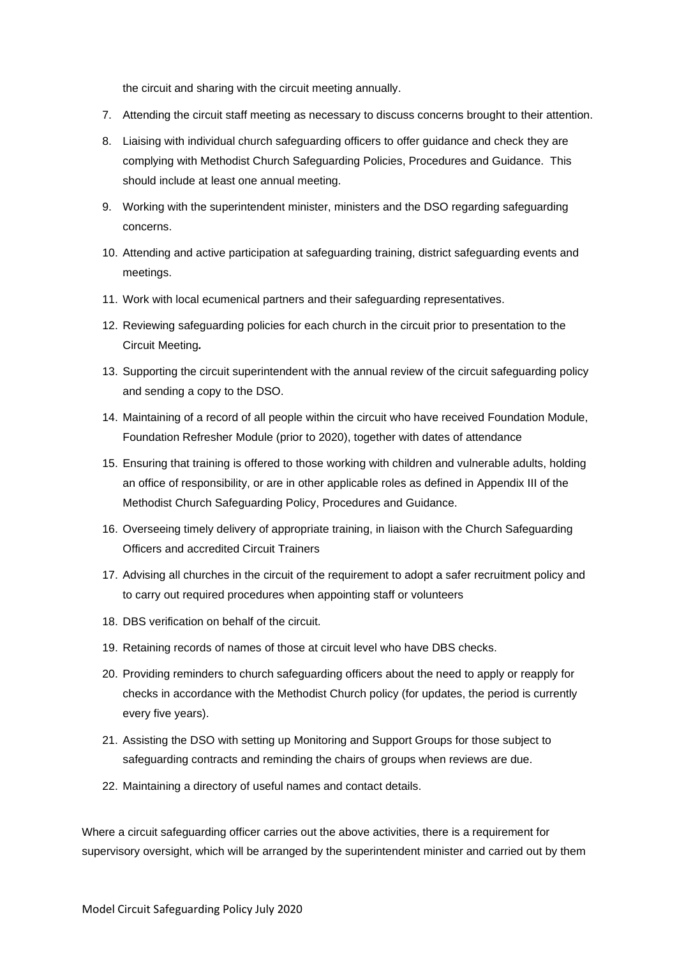the circuit and sharing with the circuit meeting annually.

- 7. Attending the circuit staff meeting as necessary to discuss concerns brought to their attention.
- 8. Liaising with individual church safeguarding officers to offer guidance and check they are complying with Methodist Church Safeguarding Policies, Procedures and Guidance. This should include at least one annual meeting.
- 9. Working with the superintendent minister, ministers and the DSO regarding safeguarding concerns.
- 10. Attending and active participation at safeguarding training, district safeguarding events and meetings.
- 11. Work with local ecumenical partners and their safeguarding representatives.
- 12. Reviewing safeguarding policies for each church in the circuit prior to presentation to the Circuit Meeting*.*
- 13. Supporting the circuit superintendent with the annual review of the circuit safeguarding policy and sending a copy to the DSO.
- 14. Maintaining of a record of all people within the circuit who have received Foundation Module, Foundation Refresher Module (prior to 2020), together with dates of attendance
- 15. Ensuring that training is offered to those working with children and vulnerable adults, holding an office of responsibility, or are in other applicable roles as defined in Appendix III of the Methodist Church Safeguarding Policy, Procedures and Guidance.
- 16. Overseeing timely delivery of appropriate training, in liaison with the Church Safeguarding Officers and accredited Circuit Trainers
- 17. Advising all churches in the circuit of the requirement to adopt a safer recruitment policy and to carry out required procedures when appointing staff or volunteers
- 18. DBS verification on behalf of the circuit.
- 19. Retaining records of names of those at circuit level who have DBS checks.
- 20. Providing reminders to church safeguarding officers about the need to apply or reapply for checks in accordance with the Methodist Church policy (for updates, the period is currently every five years).
- 21. Assisting the DSO with setting up Monitoring and Support Groups for those subject to safeguarding contracts and reminding the chairs of groups when reviews are due.
- 22. Maintaining a directory of useful names and contact details.

Where a circuit safeguarding officer carries out the above activities, there is a requirement for supervisory oversight, which will be arranged by the superintendent minister and carried out by them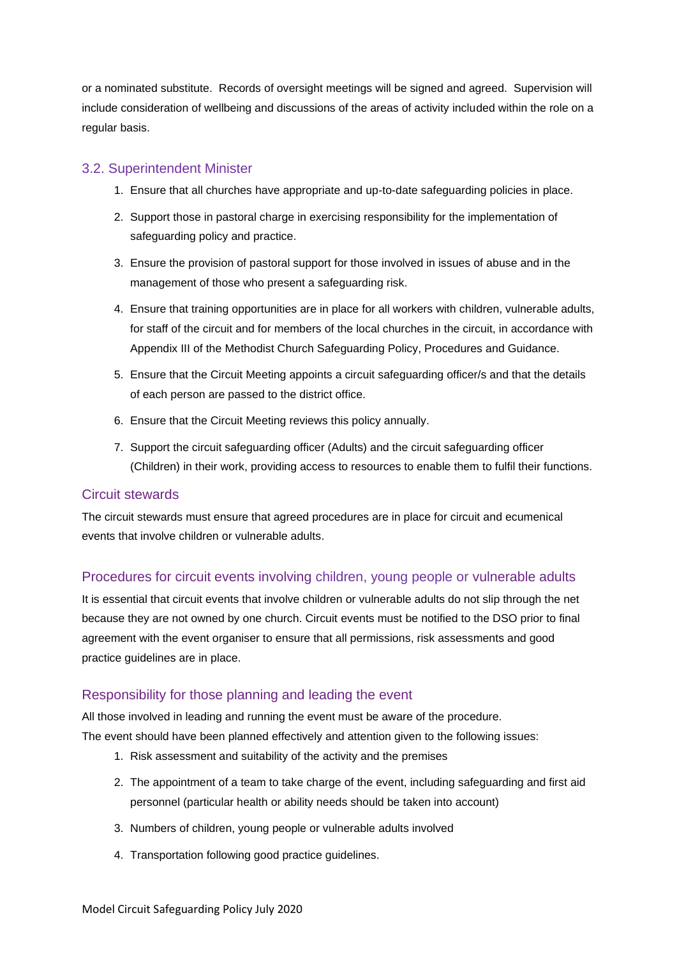or a nominated substitute. Records of oversight meetings will be signed and agreed. Supervision will include consideration of wellbeing and discussions of the areas of activity included within the role on a regular basis.

### 3.2. Superintendent Minister

- 1. Ensure that all churches have appropriate and up-to-date safeguarding policies in place.
- 2. Support those in pastoral charge in exercising responsibility for the implementation of safeguarding policy and practice.
- 3. Ensure the provision of pastoral support for those involved in issues of abuse and in the management of those who present a safeguarding risk.
- 4. Ensure that training opportunities are in place for all workers with children, vulnerable adults, for staff of the circuit and for members of the local churches in the circuit, in accordance with Appendix III of the Methodist Church Safeguarding Policy, Procedures and Guidance.
- 5. Ensure that the Circuit Meeting appoints a circuit safeguarding officer/s and that the details of each person are passed to the district office.
- 6. Ensure that the Circuit Meeting reviews this policy annually.
- 7. Support the circuit safeguarding officer (Adults) and the circuit safeguarding officer (Children) in their work, providing access to resources to enable them to fulfil their functions.

#### Circuit stewards

The circuit stewards must ensure that agreed procedures are in place for circuit and ecumenical events that involve children or vulnerable adults.

### Procedures for circuit events involving children, young people or vulnerable adults

It is essential that circuit events that involve children or vulnerable adults do not slip through the net because they are not owned by one church. Circuit events must be notified to the DSO prior to final agreement with the event organiser to ensure that all permissions, risk assessments and good practice guidelines are in place.

### Responsibility for those planning and leading the event

All those involved in leading and running the event must be aware of the procedure. The event should have been planned effectively and attention given to the following issues:

- 1. Risk assessment and suitability of the activity and the premises
- 2. The appointment of a team to take charge of the event, including safeguarding and first aid personnel (particular health or ability needs should be taken into account)
- 3. Numbers of children, young people or vulnerable adults involved
- 4. Transportation following good practice guidelines.